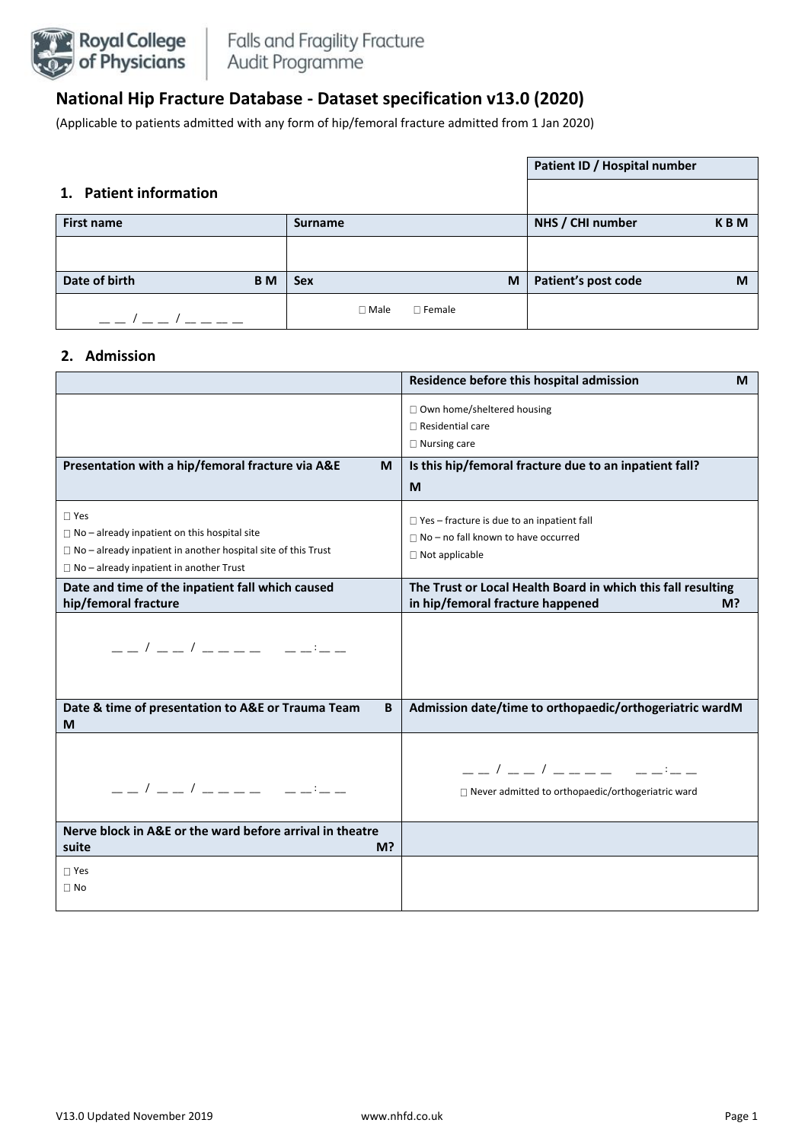

# **National Hip Fracture Database - Dataset specification v13.0 (2020)**

(Applicable to patients admitted with any form of hip/femoral fracture admitted from 1 Jan 2020)

|                        |           |                |               | Patient ID / Hospital number |            |
|------------------------|-----------|----------------|---------------|------------------------------|------------|
| 1. Patient information |           |                |               |                              |            |
| <b>First name</b>      |           | <b>Surname</b> |               | NHS / CHI number             | <b>KBM</b> |
|                        |           |                |               |                              |            |
| Date of birth          | <b>BM</b> | <b>Sex</b>     | M             | Patient's post code          | M          |
|                        |           | $\Box$ Male    | $\Box$ Female |                              |            |

### **2. Admission**

|                                                                                                                                                                                             | Residence before this hospital admission<br>M                                                                            |
|---------------------------------------------------------------------------------------------------------------------------------------------------------------------------------------------|--------------------------------------------------------------------------------------------------------------------------|
|                                                                                                                                                                                             | $\Box$ Own home/sheltered housing<br>$\Box$ Residential care<br>$\Box$ Nursing care                                      |
| Presentation with a hip/femoral fracture via A&E<br>M                                                                                                                                       | Is this hip/femoral fracture due to an inpatient fall?<br>M                                                              |
| $\Box$ Yes<br>$\Box$ No – already inpatient on this hospital site<br>$\Box$ No – already inpatient in another hospital site of this Trust<br>$\Box$ No - already inpatient in another Trust | $\Box$ Yes – fracture is due to an inpatient fall<br>$\Box$ No - no fall known to have occurred<br>$\Box$ Not applicable |
| Date and time of the inpatient fall which caused<br>hip/femoral fracture                                                                                                                    | The Trust or Local Health Board in which this fall resulting<br>in hip/femoral fracture happened<br>M <sup>2</sup>       |
|                                                                                                                                                                                             |                                                                                                                          |
| Date & time of presentation to A&E or Trauma Team<br>B<br>M                                                                                                                                 | Admission date/time to orthopaedic/orthogeriatric wardM                                                                  |
| __/__/____ ____                                                                                                                                                                             | □ Never admitted to orthopaedic/orthogeriatric ward                                                                      |
| Nerve block in A&E or the ward before arrival in theatre<br>suite<br>M?                                                                                                                     |                                                                                                                          |
| $\Box$ Yes<br>$\Box$ No                                                                                                                                                                     |                                                                                                                          |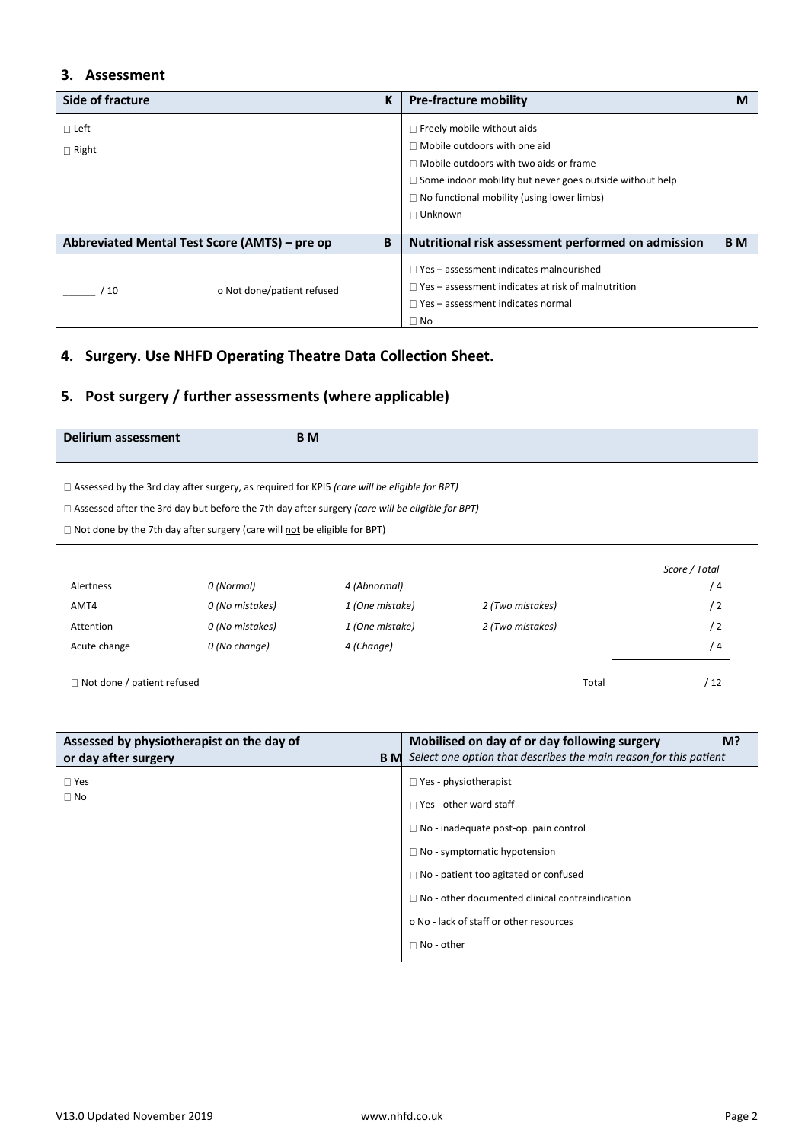## **3. Assessment**

| Side of fracture | K                                                  | <b>Pre-fracture mobility</b>                                    | М         |
|------------------|----------------------------------------------------|-----------------------------------------------------------------|-----------|
| $\Box$ Left      |                                                    | $\Box$ Freely mobile without aids                               |           |
| $\Box$ Right     |                                                    | $\Box$ Mobile outdoors with one aid                             |           |
|                  |                                                    | $\Box$ Mobile outdoors with two aids or frame                   |           |
|                  |                                                    | $\Box$ Some indoor mobility but never goes outside without help |           |
|                  |                                                    | $\Box$ No functional mobility (using lower limbs)               |           |
|                  |                                                    | $\Box$ Unknown                                                  |           |
|                  |                                                    |                                                                 |           |
|                  | Abbreviated Mental Test Score (AMTS) - pre op<br>B | Nutritional risk assessment performed on admission              | <b>BM</b> |
|                  |                                                    | $\Box$ Yes – assessment indicates malnourished                  |           |
| 10               | o Not done/patient refused                         | $\Box$ Yes – assessment indicates at risk of malnutrition       |           |
|                  |                                                    | $\Box$ Yes – assessment indicates normal                        |           |
|                  |                                                    | $\Box$ No                                                       |           |

## **4. Surgery. Use NHFD Operating Theatre Data Collection Sheet.**

# **5. Post surgery / further assessments (where applicable)**

| <b>Delirium assessment</b>                                                                             |                 | <b>BM</b>       |                   |                                                        |                                                                   |  |
|--------------------------------------------------------------------------------------------------------|-----------------|-----------------|-------------------|--------------------------------------------------------|-------------------------------------------------------------------|--|
| $\Box$ Assessed by the 3rd day after surgery, as required for KPI5 (care will be eligible for BPT)     |                 |                 |                   |                                                        |                                                                   |  |
| $\Box$ Assessed after the 3rd day but before the 7th day after surgery (care will be eligible for BPT) |                 |                 |                   |                                                        |                                                                   |  |
| $\Box$ Not done by the 7th day after surgery (care will not be eligible for BPT)                       |                 |                 |                   |                                                        |                                                                   |  |
|                                                                                                        |                 |                 |                   |                                                        |                                                                   |  |
| Alertness                                                                                              | 0 (Normal)      | 4 (Abnormal)    |                   |                                                        | Score / Total<br>/4                                               |  |
| AMT4                                                                                                   | 0 (No mistakes) | 1 (One mistake) |                   | 2 (Two mistakes)                                       | /2                                                                |  |
| Attention                                                                                              | 0 (No mistakes) | 1 (One mistake) |                   | 2 (Two mistakes)                                       | /2                                                                |  |
| Acute change                                                                                           | 0 (No change)   | 4 (Change)      |                   |                                                        | /4                                                                |  |
|                                                                                                        |                 |                 |                   |                                                        |                                                                   |  |
| $\Box$ Not done / patient refused                                                                      |                 |                 |                   |                                                        | /12<br>Total                                                      |  |
|                                                                                                        |                 |                 |                   |                                                        |                                                                   |  |
|                                                                                                        |                 |                 |                   |                                                        |                                                                   |  |
| Assessed by physiotherapist on the day of                                                              |                 |                 |                   | Mobilised on day of or day following surgery           | M?                                                                |  |
| or day after surgery                                                                                   |                 | <b>BM</b>       |                   |                                                        | Select one option that describes the main reason for this patient |  |
| $\square$ Yes                                                                                          |                 |                 |                   | $\Box$ Yes - physiotherapist                           |                                                                   |  |
| $\Box$ No                                                                                              |                 |                 |                   | $\Box$ Yes - other ward staff                          |                                                                   |  |
|                                                                                                        |                 |                 |                   | $\Box$ No - inadequate post-op. pain control           |                                                                   |  |
|                                                                                                        |                 |                 |                   | $\Box$ No - symptomatic hypotension                    |                                                                   |  |
|                                                                                                        |                 |                 |                   |                                                        |                                                                   |  |
|                                                                                                        |                 |                 |                   | $\Box$ No - patient too agitated or confused           |                                                                   |  |
|                                                                                                        |                 |                 |                   | $\Box$ No - other documented clinical contraindication |                                                                   |  |
|                                                                                                        |                 |                 |                   | o No - lack of staff or other resources                |                                                                   |  |
|                                                                                                        |                 |                 | $\Box$ No - other |                                                        |                                                                   |  |
|                                                                                                        |                 |                 |                   |                                                        |                                                                   |  |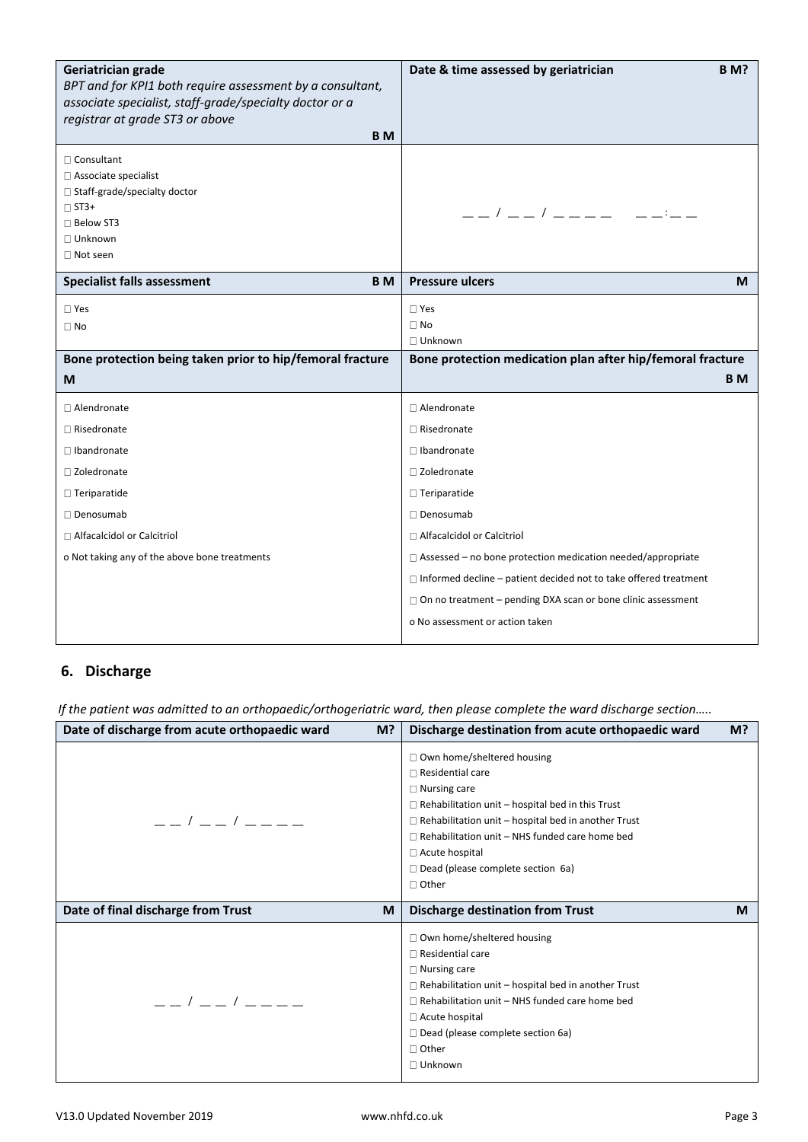| Geriatrician grade<br>BPT and for KPI1 both require assessment by a consultant,<br>associate specialist, staff-grade/specialty doctor or a<br>registrar at grade ST3 or above<br><b>BM</b> | Date & time assessed by geriatrician<br><b>B</b> M?                                                        |
|--------------------------------------------------------------------------------------------------------------------------------------------------------------------------------------------|------------------------------------------------------------------------------------------------------------|
| $\Box$ Consultant<br>□ Associate specialist<br>□ Staff-grade/specialty doctor<br>$\Box$ ST3+<br>$\Box$ Below ST3<br>□ Unknown<br>$\Box$ Not seen                                           | $  /$ $  /$ $   -$                                                                                         |
| <b>Specialist falls assessment</b><br><b>BM</b>                                                                                                                                            | <b>Pressure ulcers</b><br>М                                                                                |
| $\Box$ Yes<br>$\Box$ No<br>Bone protection being taken prior to hip/femoral fracture                                                                                                       | $\square$ Yes<br>$\Box$ No<br>$\Box$ Unknown<br>Bone protection medication plan after hip/femoral fracture |
|                                                                                                                                                                                            |                                                                                                            |
| M                                                                                                                                                                                          | B M                                                                                                        |
| $\Box$ Alendronate                                                                                                                                                                         | $\Box$ Alendronate                                                                                         |
| $\Box$ Risedronate                                                                                                                                                                         | $\Box$ Risedronate                                                                                         |
| $\Box$ Ibandronate                                                                                                                                                                         | $\Box$ Ibandronate                                                                                         |
| □ Zoledronate                                                                                                                                                                              | □ Zoledronate                                                                                              |
| $\Box$ Teriparatide<br>□ Denosumab                                                                                                                                                         | $\Box$ Teriparatide<br>□ Denosumab                                                                         |
| □ Alfacalcidol or Calcitriol                                                                                                                                                               | □ Alfacalcidol or Calcitriol                                                                               |

## **6. Discharge**

 *If the patient was admitted to an orthopaedic/orthogeriatric ward, then please complete the ward discharge section…..*

| Date of discharge from acute orthopaedic ward                                                       | Discharge destination from acute orthopaedic ward                                                                                                                                                                                                                                                                                                |
|-----------------------------------------------------------------------------------------------------|--------------------------------------------------------------------------------------------------------------------------------------------------------------------------------------------------------------------------------------------------------------------------------------------------------------------------------------------------|
| M?                                                                                                  | M?                                                                                                                                                                                                                                                                                                                                               |
| $\frac{\alpha}{\alpha}$ / $\frac{\alpha}{\alpha}$ / $\frac{\alpha}{\alpha}$ $\frac{\alpha}{\alpha}$ | □ Own home/sheltered housing<br>$\Box$ Residential care<br>$\Box$ Nursing care<br>$\Box$ Rehabilitation unit - hospital bed in this Trust<br>$\Box$ Rehabilitation unit – hospital bed in another Trust<br>$\Box$ Rehabilitation unit – NHS funded care home bed<br>□ Acute hospital<br>$\Box$ Dead (please complete section 6a)<br>$\Box$ Other |
| Date of final discharge from Trust                                                                  | <b>Discharge destination from Trust</b>                                                                                                                                                                                                                                                                                                          |
| M                                                                                                   | M                                                                                                                                                                                                                                                                                                                                                |
| $\frac{1}{2}$                                                                                       | □ Own home/sheltered housing<br>$\Box$ Residential care<br>$\Box$ Nursing care<br>$\Box$ Rehabilitation unit – hospital bed in another Trust<br>$\Box$ Rehabilitation unit – NHS funded care home bed<br>$\Box$ Acute hospital<br>$\Box$ Dead (please complete section 6a)<br>$\Box$ Other<br>$\Box$ Unknown                                     |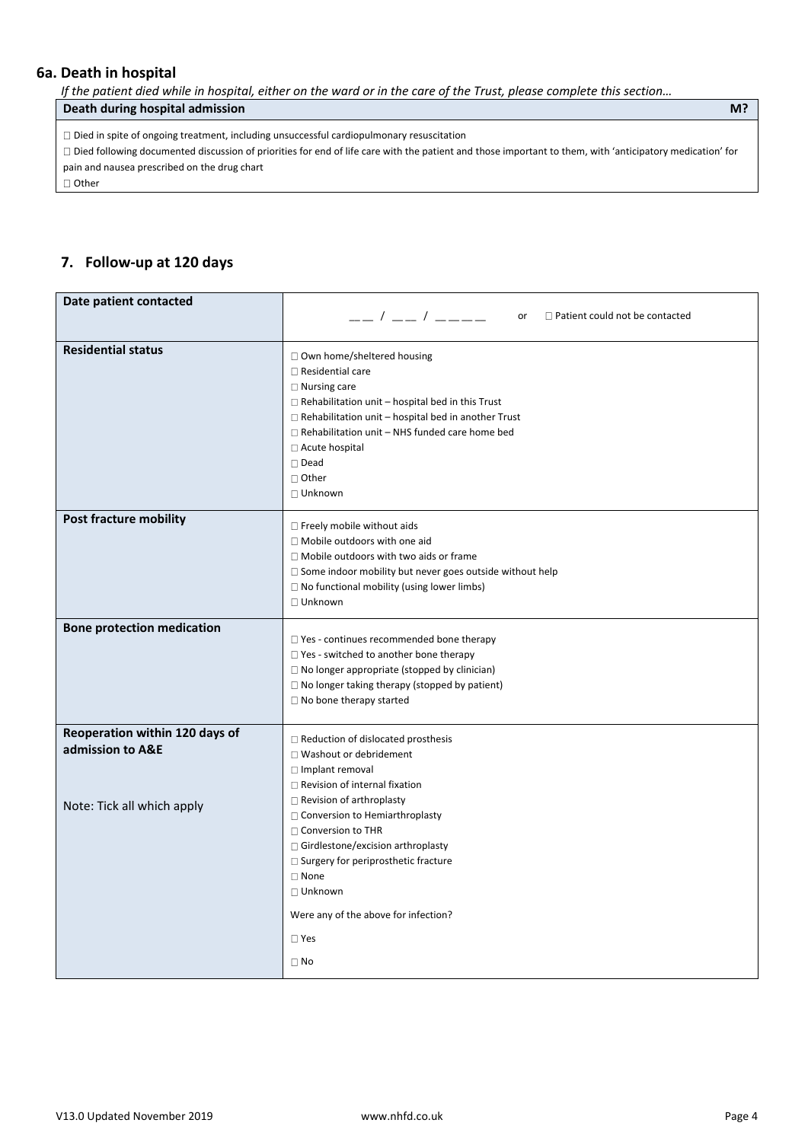## **6a. Death in hospital**

*If the patient died while in hospital, either on the ward or in the care of the Trust, please complete this section...* 

### **Death during hospital admission M?**

 $\Box$  Died in spite of ongoing treatment, including unsuccessful cardiopulmonary resuscitation

Died following documented discussion of priorities for end of life care with the patient and those important to them, with 'anticipatory medication' for pain and nausea prescribed on the drug chart

□ Other

## **7. Follow-up at 120 days**

| Date patient contacted                                                           | __ / __ / ____<br>$\Box$ Patient could not be contacted<br>or                                                                                                                                                                                                                                                                                                                                                 |
|----------------------------------------------------------------------------------|---------------------------------------------------------------------------------------------------------------------------------------------------------------------------------------------------------------------------------------------------------------------------------------------------------------------------------------------------------------------------------------------------------------|
| <b>Residential status</b>                                                        | □ Own home/sheltered housing<br>$\Box$ Residential care<br>$\Box$ Nursing care<br>$\Box$ Rehabilitation unit – hospital bed in this Trust<br>$\Box$ Rehabilitation unit - hospital bed in another Trust<br>$\Box$ Rehabilitation unit - NHS funded care home bed<br>□ Acute hospital<br>$\square$ Dead<br>□ Other<br>$\Box$ Unknown                                                                           |
| <b>Post fracture mobility</b>                                                    | $\Box$ Freely mobile without aids<br>□ Mobile outdoors with one aid<br>$\Box$ Mobile outdoors with two aids or frame<br>$\Box$ Some indoor mobility but never goes outside without help<br>$\Box$ No functional mobility (using lower limbs)<br>□ Unknown                                                                                                                                                     |
| <b>Bone protection medication</b>                                                | $\Box$ Yes - continues recommended bone therapy<br>$\Box$ Yes - switched to another bone therapy<br>$\Box$ No longer appropriate (stopped by clinician)<br>$\Box$ No longer taking therapy (stopped by patient)<br>$\Box$ No bone therapy started                                                                                                                                                             |
| Reoperation within 120 days of<br>admission to A&E<br>Note: Tick all which apply | $\Box$ Reduction of dislocated prosthesis<br>□ Washout or debridement<br>$\Box$ Implant removal<br>$\Box$ Revision of internal fixation<br>$\Box$ Revision of arthroplasty<br>□ Conversion to Hemiarthroplasty<br>$\Box$ Conversion to THR<br>$\Box$ Girdlestone/excision arthroplasty<br>$\Box$ Surgery for periprosthetic fracture<br>$\Box$ None<br>$\Box$ Unknown<br>Were any of the above for infection? |
|                                                                                  | $\square$ Yes<br>$\Box$ No                                                                                                                                                                                                                                                                                                                                                                                    |